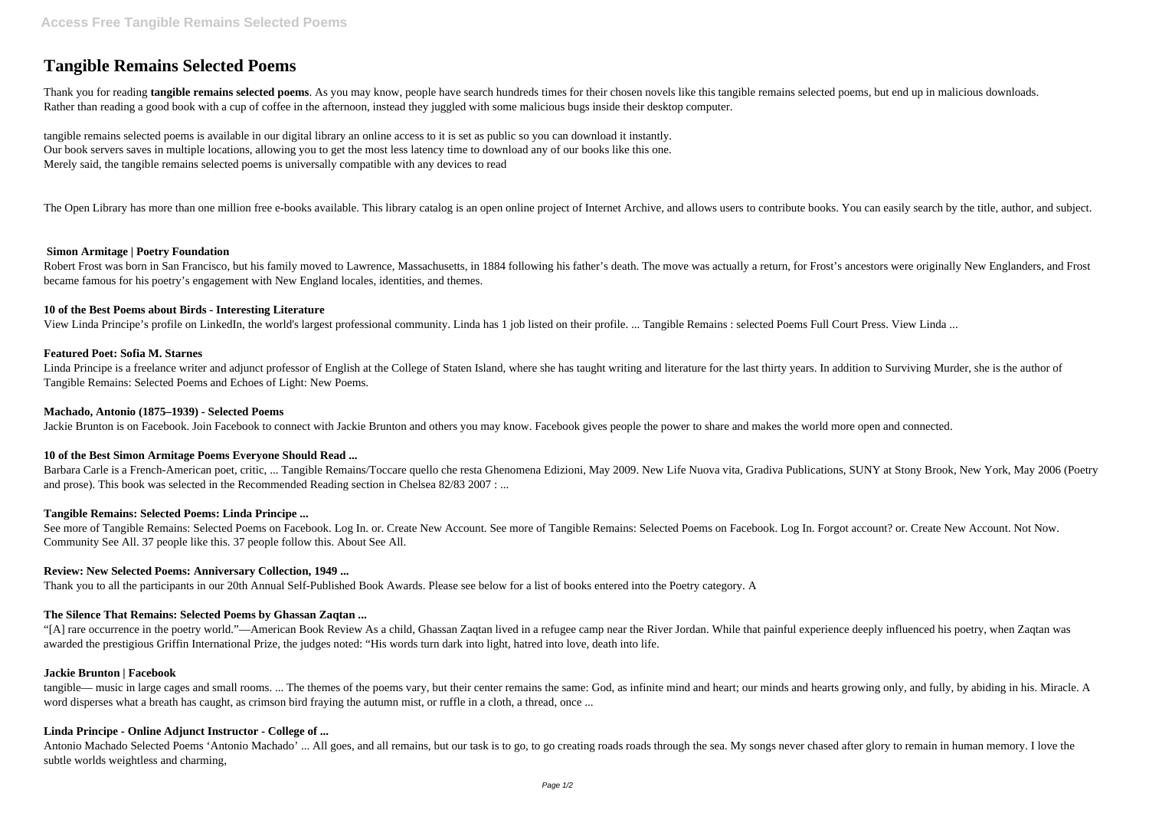# **Tangible Remains Selected Poems**

Thank you for reading **tangible remains selected poems**. As you may know, people have search hundreds times for their chosen novels like this tangible remains selected poems, but end up in malicious downloads. Rather than reading a good book with a cup of coffee in the afternoon, instead they juggled with some malicious bugs inside their desktop computer.

tangible remains selected poems is available in our digital library an online access to it is set as public so you can download it instantly. Our book servers saves in multiple locations, allowing you to get the most less latency time to download any of our books like this one. Merely said, the tangible remains selected poems is universally compatible with any devices to read

The Open Library has more than one million free e-books available. This library catalog is an open online project of Internet Archive, and allows users to contribute books. You can easily search by the title, author, and s

Robert Frost was born in San Francisco, but his family moved to Lawrence, Massachusetts, in 1884 following his father's death. The move was actually a return, for Frost's ancestors were originally New Englanders, and Frost became famous for his poetry's engagement with New England locales, identities, and themes.

Linda Principe is a freelance writer and adjunct professor of English at the College of Staten Island, where she has taught writing and literature for the last thirty years. In addition to Surviving Murder, she is the auth Tangible Remains: Selected Poems and Echoes of Light: New Poems.

## **Simon Armitage | Poetry Foundation**

## **10 of the Best Poems about Birds - Interesting Literature**

See more of Tangible Remains: Selected Poems on Facebook. Log In. or. Create New Account. See more of Tangible Remains: Selected Poems on Facebook. Log In. Forgot account? or. Create New Account. Not Now. Community See All. 37 people like this. 37 people follow this. About See All.

View Linda Principe's profile on LinkedIn, the world's largest professional community. Linda has 1 job listed on their profile. ... Tangible Remains : selected Poems Full Court Press. View Linda ...

# **Featured Poet: Sofia M. Starnes**

tangible— music in large cages and small rooms. ... The themes of the poems vary, but their center remains the same: God, as infinite mind and heart; our minds and hearts growing only, and fully, by abiding in his. Miracle word disperses what a breath has caught, as crimson bird fraying the autumn mist, or ruffle in a cloth, a thread, once ...

#### **Machado, Antonio (1875–1939) - Selected Poems**

Jackie Brunton is on Facebook. Join Facebook to connect with Jackie Brunton and others you may know. Facebook gives people the power to share and makes the world more open and connected.

# **10 of the Best Simon Armitage Poems Everyone Should Read ...**

Barbara Carle is a French-American poet, critic, ... Tangible Remains/Toccare quello che resta Ghenomena Edizioni, May 2009. New Life Nuova vita, Gradiva Publications, SUNY at Stony Brook, New York, May 2006 (Poetry and prose). This book was selected in the Recommended Reading section in Chelsea 82/83 2007 : ...

# **Tangible Remains: Selected Poems: Linda Principe ...**

# **Review: New Selected Poems: Anniversary Collection, 1949 ...**

Thank you to all the participants in our 20th Annual Self-Published Book Awards. Please see below for a list of books entered into the Poetry category. A

# **The Silence That Remains: Selected Poems by Ghassan Zaqtan ...**

"[A] rare occurrence in the poetry world."—American Book Review As a child, Ghassan Zaqtan lived in a refugee camp near the River Jordan. While that painful experience deeply influenced his poetry, when Zaqtan was awarded the prestigious Griffin International Prize, the judges noted: "His words turn dark into light, hatred into love, death into life.

#### **Jackie Brunton | Facebook**

# **Linda Principe - Online Adjunct Instructor - College of ...**

Antonio Machado Selected Poems 'Antonio Machado' ... All goes, and all remains, but our task is to go, to go creating roads roads through the sea. My songs never chased after glory to remain in human memory. I love the subtle worlds weightless and charming,